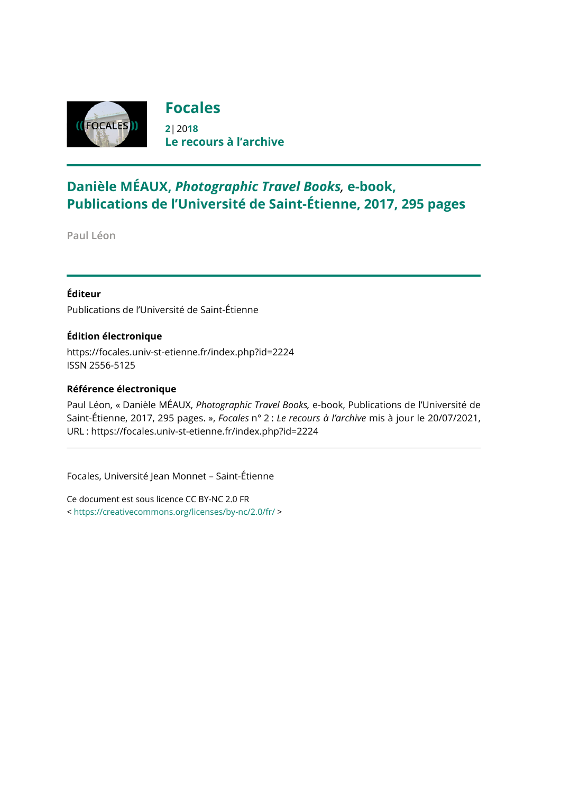

## **Danièle MÉAUX,** *Photographic Travel Books,* **e-book, Publications de l'Université de Saint-Étienne, 2017, 295 pages**

**Paul Léon**

### **Éditeur**

Publications de l'Université de Saint-Étienne

#### **Édition électronique**

<https://focales.univ-st-etienne.fr/index.php?id=2224> ISSN 2556-5125

#### **Référence électronique**

Paul Léon, « Danièle MÉAUX, *Photographic Travel Books,* e-book, Publications de l'Université de Saint-Étienne, 2017, 295 pages. », *Focales* n° 2 : *Le recours à l'archive* mis à jour le 20/07/2021, URL : <https://focales.univ-st-etienne.fr/index.php?id=2224>

Focales, Université Jean Monnet – Saint-Étienne

Ce document est sous licence CC BY-NC 2.0 FR < <https://creativecommons.org/licenses/by-nc/2.0/fr/> >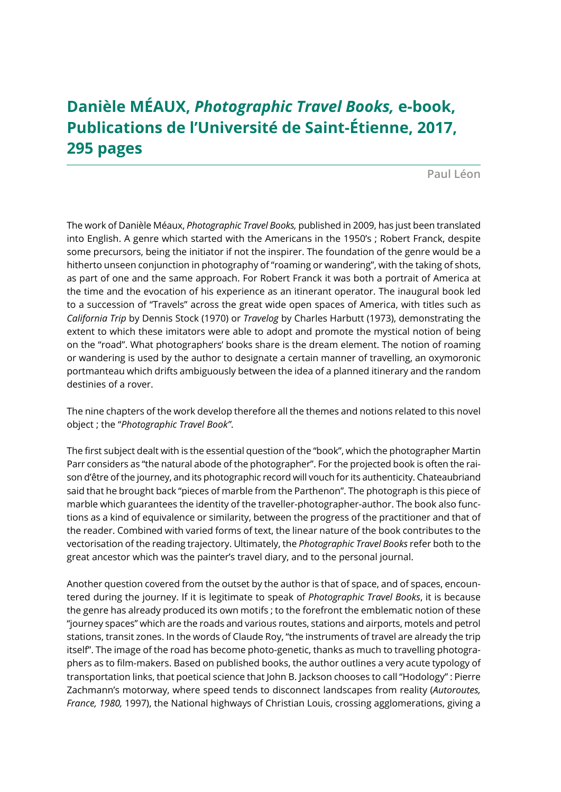# **Danièle MÉAUX,** *Photographic Travel Books,* **e-book, Publications de l'Université de Saint-Étienne, 2017, 295 pages**

**Paul Léon**

The work of Danièle Méaux, *Photographic Travel Books,* published in 2009, has just been translated into English. A genre which started with the Americans in the 1950's ; Robert Franck, despite some precursors, being the initiator if not the inspirer. The foundation of the genre would be a hitherto unseen conjunction in photography of "roaming or wandering", with the taking of shots, as part of one and the same approach. For Robert Franck it was both a portrait of America at the time and the evocation of his experience as an itinerant operator. The inaugural book led to a succession of "Travels" across the great wide open spaces of America, with titles such as *California Trip* by Dennis Stock (1970) or *Travelog* by Charles Harbutt (1973), demonstrating the extent to which these imitators were able to adopt and promote the mystical notion of being on the "road". What photographers' books share is the dream element. The notion of roaming or wandering is used by the author to designate a certain manner of travelling, an oxymoronic portmanteau which drifts ambiguously between the idea of a planned itinerary and the random destinies of a rover.

The nine chapters of the work develop therefore all the themes and notions related to this novel object ; the "*Photographic Travel Book"*.

The first subject dealt with is the essential question of the "book", which the photographer Martin Parr considers as "the natural abode of the photographer". For the projected book is often the raison d'être of the journey, and its photographic record will vouch for its authenticity. Chateaubriand said that he brought back "pieces of marble from the Parthenon". The photograph is this piece of marble which guarantees the identity of the traveller-photographer-author. The book also functions as a kind of equivalence or similarity, between the progress of the practitioner and that of the reader. Combined with varied forms of text, the linear nature of the book contributes to the vectorisation of the reading trajectory. Ultimately, the *Photographic Travel Books* refer both to the great ancestor which was the painter's travel diary, and to the personal journal.

Another question covered from the outset by the author is that of space, and of spaces, encountered during the journey. If it is legitimate to speak of *Photographic Travel Books*, it is because the genre has already produced its own motifs ; to the forefront the emblematic notion of these "journey spaces" which are the roads and various routes, stations and airports, motels and petrol stations, transit zones. In the words of Claude Roy, "the instruments of travel are already the trip itself". The image of the road has become photo-genetic, thanks as much to travelling photographers as to film-makers. Based on published books, the author outlines a very acute typology of transportation links, that poetical science that John B. Jackson chooses to call "Hodology" : Pierre Zachmann's motorway, where speed tends to disconnect landscapes from reality (*Autoroutes, France, 1980,* 1997), the National highways of Christian Louis, crossing agglomerations, giving a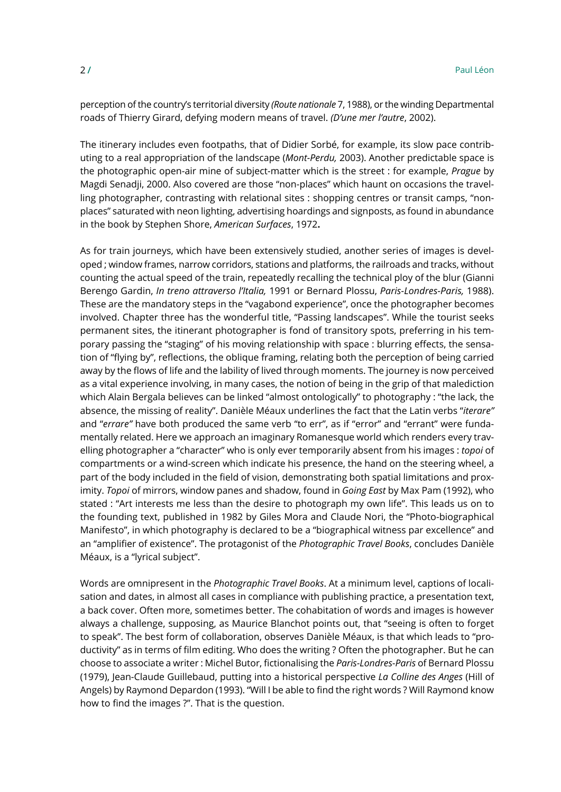perception of the country's territorial diversity *(Route nationale* 7, 1988), or the winding Departmental roads of Thierry Girard, defying modern means of travel. *(D'une mer l'autre*, 2002).

The itinerary includes even footpaths, that of Didier Sorbé, for example, its slow pace contributing to a real appropriation of the landscape (*Mont-Perdu,* 2003). Another predictable space is the photographic open-air mine of subject-matter which is the street : for example, *Prague* by Magdi Senadji, 2000. Also covered are those "non-places" which haunt on occasions the travelling photographer, contrasting with relational sites : shopping centres or transit camps, "nonplaces" saturated with neon lighting, advertising hoardings and signposts, as found in abundance in the book by Stephen Shore, *American Surfaces*, 1972**.**

As for train journeys, which have been extensively studied, another series of images is developed ; window frames, narrow corridors, stations and platforms, the railroads and tracks, without counting the actual speed of the train, repeatedly recalling the technical ploy of the blur (Gianni Berengo Gardin, *In treno attraverso l'Italia,* 1991 or Bernard Plossu, *Paris-Londres-Paris,* 1988). These are the mandatory steps in the "vagabond experience", once the photographer becomes involved. Chapter three has the wonderful title, "Passing landscapes". While the tourist seeks permanent sites, the itinerant photographer is fond of transitory spots, preferring in his temporary passing the "staging" of his moving relationship with space : blurring effects, the sensation of "flying by", reflections, the oblique framing, relating both the perception of being carried away by the flows of life and the lability of lived through moments. The journey is now perceived as a vital experience involving, in many cases, the notion of being in the grip of that malediction which Alain Bergala believes can be linked "almost ontologically" to photography : "the lack, the absence, the missing of reality". Danièle Méaux underlines the fact that the Latin verbs "*iterare"* and "*errare"* have both produced the same verb "to err", as if "error" and "errant" were fundamentally related. Here we approach an imaginary Romanesque world which renders every travelling photographer a "character" who is only ever temporarily absent from his images : *topoi* of compartments or a wind-screen which indicate his presence, the hand on the steering wheel, a part of the body included in the field of vision, demonstrating both spatial limitations and proximity. *Topoi* of mirrors, window panes and shadow, found in *Going East* by Max Pam (1992), who stated : "Art interests me less than the desire to photograph my own life". This leads us on to the founding text, published in 1982 by Giles Mora and Claude Nori, the "Photo-biographical Manifesto", in which photography is declared to be a "biographical witness par excellence" and an "amplifier of existence". The protagonist of the *Photographic Travel Books*, concludes Danièle Méaux, is a "lyrical subject".

Words are omnipresent in the *Photographic Travel Books*. At a minimum level, captions of localisation and dates, in almost all cases in compliance with publishing practice, a presentation text, a back cover. Often more, sometimes better. The cohabitation of words and images is however always a challenge, supposing, as Maurice Blanchot points out, that "seeing is often to forget to speak". The best form of collaboration, observes Danièle Méaux, is that which leads to "productivity" as in terms of film editing. Who does the writing ? Often the photographer. But he can choose to associate a writer : Michel Butor, fictionalising the *Paris-Londres-Paris* of Bernard Plossu (1979), Jean-Claude Guillebaud, putting into a historical perspective *La Colline des Anges* (Hill of Angels) by Raymond Depardon (1993). "Will I be able to find the right words ? Will Raymond know how to find the images ?". That is the question.